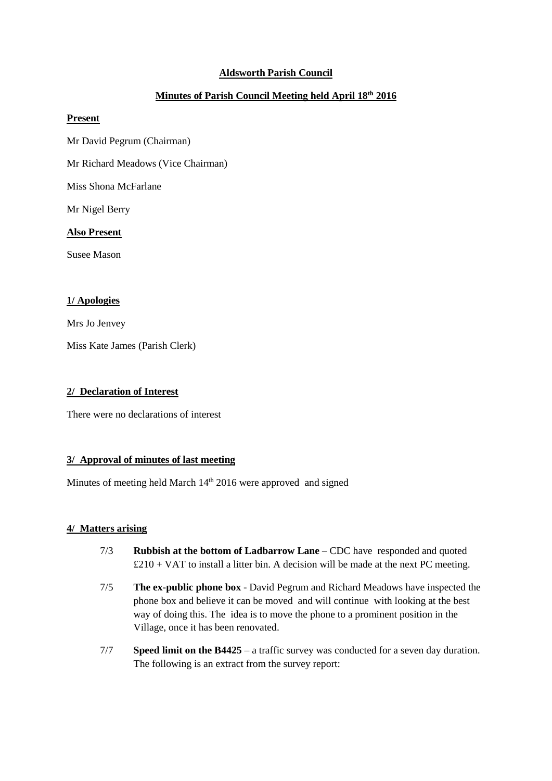# **Aldsworth Parish Council**

# **Minutes of Parish Council Meeting held April 18th 2016**

#### **Present**

- Mr David Pegrum (Chairman)
- Mr Richard Meadows (Vice Chairman)

Miss Shona McFarlane

Mr Nigel Berry

#### **Also Present**

Susee Mason

# **1/ Apologies**

Mrs Jo Jenvey

Miss Kate James (Parish Clerk)

#### **2/ Declaration of Interest**

There were no declarations of interest

## **3/ Approval of minutes of last meeting**

Minutes of meeting held March 14<sup>th</sup> 2016 were approved and signed

## **4/ Matters arising**

- 7/3 **Rubbish at the bottom of Ladbarrow Lane** CDC have responded and quoted  $£210 + VAT$  to install a litter bin. A decision will be made at the next PC meeting.
- 7/5 **The ex-public phone box** David Pegrum and Richard Meadows have inspected the phone box and believe it can be moved and will continue with looking at the best way of doing this. The idea is to move the phone to a prominent position in the Village, once it has been renovated.
- 7/7 **Speed limit on the B4425** a traffic survey was conducted for a seven day duration. The following is an extract from the survey report: